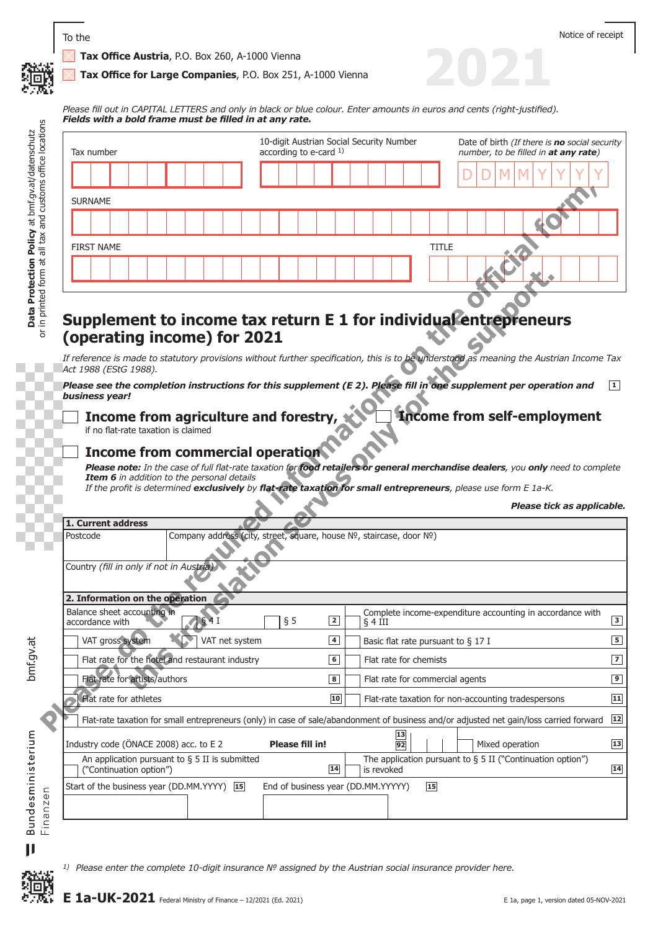

**2021**

 **Tax Office Austria**, P.O. Box 260, A-1000 Vienna

 **Tax Office for Large Companies**, P.O. Box 251, A-1000 Vienna

*Please fill out in CAPITAL LETTERS and only in black or blue colour. Enter amounts in euros and cents (right-justified). Fields with a bold frame must be filled in at any rate.*

| Tax number                                                                                                                                                                                                                                                                                                                                                                              |  |  |                                                                      |  | 10-digit Austrian Social Security Number<br>according to e-card $1$ ) |                                    |                 |  |            |                                       |  | Date of birth (If there is no social security<br>number, to be filled in at any rate) |  |  |                                                     |                                                               |  |
|-----------------------------------------------------------------------------------------------------------------------------------------------------------------------------------------------------------------------------------------------------------------------------------------------------------------------------------------------------------------------------------------|--|--|----------------------------------------------------------------------|--|-----------------------------------------------------------------------|------------------------------------|-----------------|--|------------|---------------------------------------|--|---------------------------------------------------------------------------------------|--|--|-----------------------------------------------------|---------------------------------------------------------------|--|
|                                                                                                                                                                                                                                                                                                                                                                                         |  |  |                                                                      |  |                                                                       |                                    |                 |  |            |                                       |  |                                                                                       |  |  |                                                     |                                                               |  |
| <b>SURNAME</b>                                                                                                                                                                                                                                                                                                                                                                          |  |  |                                                                      |  |                                                                       |                                    |                 |  |            |                                       |  |                                                                                       |  |  |                                                     |                                                               |  |
|                                                                                                                                                                                                                                                                                                                                                                                         |  |  |                                                                      |  |                                                                       |                                    |                 |  |            |                                       |  |                                                                                       |  |  |                                                     |                                                               |  |
| <b>FIRST NAME</b>                                                                                                                                                                                                                                                                                                                                                                       |  |  |                                                                      |  |                                                                       |                                    |                 |  |            |                                       |  | <b>TITLE</b>                                                                          |  |  |                                                     |                                                               |  |
|                                                                                                                                                                                                                                                                                                                                                                                         |  |  |                                                                      |  |                                                                       |                                    |                 |  |            |                                       |  |                                                                                       |  |  |                                                     |                                                               |  |
| If reference is made to statutory provisions without further specification, this is to be understood as meaning the Austrian Income Tax<br>Act 1988 (EStG 1988).<br>Please see the completion instructions for this supplement (E 2). Please fill in one supplement per operation and<br>business year!<br>Income from agriculture and forestry,<br>if no flat-rate taxation is claimed |  |  |                                                                      |  |                                                                       |                                    |                 |  |            |                                       |  |                                                                                       |  |  |                                                     | <b>Income from self-employment</b>                            |  |
| <b>Income from commercial operation</b><br>Please note: In the case of full flat-rate taxation for food retailers or general merchandise dealers, you only need to complete<br>Item 6 in addition to the personal details<br>If the profit is determined exclusively by flat-rate taxation for small entrepreneurs, please use form E 1a-K.                                             |  |  |                                                                      |  |                                                                       |                                    |                 |  |            |                                       |  |                                                                                       |  |  |                                                     |                                                               |  |
|                                                                                                                                                                                                                                                                                                                                                                                         |  |  |                                                                      |  |                                                                       |                                    |                 |  |            |                                       |  |                                                                                       |  |  |                                                     | Please tick as applicable.                                    |  |
| 1. Current address                                                                                                                                                                                                                                                                                                                                                                      |  |  |                                                                      |  |                                                                       |                                    |                 |  |            |                                       |  |                                                                                       |  |  |                                                     |                                                               |  |
| Postcode                                                                                                                                                                                                                                                                                                                                                                                |  |  | Company address (city, street, square, house Nº, staircase, door Nº) |  |                                                                       |                                    |                 |  |            |                                       |  |                                                                                       |  |  |                                                     |                                                               |  |
|                                                                                                                                                                                                                                                                                                                                                                                         |  |  |                                                                      |  |                                                                       |                                    |                 |  |            |                                       |  |                                                                                       |  |  |                                                     |                                                               |  |
|                                                                                                                                                                                                                                                                                                                                                                                         |  |  |                                                                      |  |                                                                       |                                    |                 |  |            |                                       |  |                                                                                       |  |  |                                                     |                                                               |  |
|                                                                                                                                                                                                                                                                                                                                                                                         |  |  | § 4I                                                                 |  |                                                                       | § 5                                | $\boxed{2}$     |  | $\S$ 4 III |                                       |  |                                                                                       |  |  |                                                     | Complete income-expenditure accounting in accordance with     |  |
| VAT gross system                                                                                                                                                                                                                                                                                                                                                                        |  |  | VAT net system                                                       |  |                                                                       |                                    | $\overline{4}$  |  |            | Basic flat rate pursuant to $\S$ 17 I |  |                                                                                       |  |  |                                                     |                                                               |  |
| Flat rate for the hotel and restaurant industry                                                                                                                                                                                                                                                                                                                                         |  |  |                                                                      |  |                                                                       |                                    | $\overline{6}$  |  |            | Flat rate for chemists                |  |                                                                                       |  |  |                                                     |                                                               |  |
| Flat rate for artists/authors                                                                                                                                                                                                                                                                                                                                                           |  |  |                                                                      |  |                                                                       |                                    | $\boxed{8}$     |  |            | Flat rate for commercial agents       |  |                                                                                       |  |  |                                                     |                                                               |  |
| Flat rate for athletes                                                                                                                                                                                                                                                                                                                                                                  |  |  |                                                                      |  |                                                                       |                                    | $\overline{10}$ |  |            |                                       |  |                                                                                       |  |  | Flat-rate taxation for non-accounting tradespersons |                                                               |  |
| Flat-rate taxation for small entrepreneurs (only) in case of sale/abandonment of business and/or adjusted net gain/loss carried forward                                                                                                                                                                                                                                                 |  |  |                                                                      |  |                                                                       |                                    |                 |  |            |                                       |  |                                                                                       |  |  |                                                     |                                                               |  |
|                                                                                                                                                                                                                                                                                                                                                                                         |  |  |                                                                      |  |                                                                       | <b>Please fill in!</b>             |                 |  |            | 13<br>92                              |  |                                                                                       |  |  | Mixed operation                                     |                                                               |  |
| An application pursuant to $\S$ 5 II is submitted<br>("Continuation option")                                                                                                                                                                                                                                                                                                            |  |  |                                                                      |  |                                                                       |                                    | 14              |  | is revoked |                                       |  |                                                                                       |  |  |                                                     | The application pursuant to $\S$ 5 II ("Continuation option") |  |
| Country (fill in only if not in Austria)<br>2. Information on the operation<br>Balance sheet accounting in<br>accordance with<br>Industry code (ÖNACE 2008) acc. to E 2<br>Start of the business year (DD.MM.YYYY) 15                                                                                                                                                                   |  |  |                                                                      |  |                                                                       | End of business year (DD.MM.YYYYY) |                 |  |            |                                       |  | $\boxed{15}$                                                                          |  |  |                                                     |                                                               |  |

*1) Please enter the complete 10-digit insurance № assigned by the Austrian social insurance provider here.*

 $\blacksquare$ 

獵

**Data Protection Policy** at bmf.gv.at/datenschutz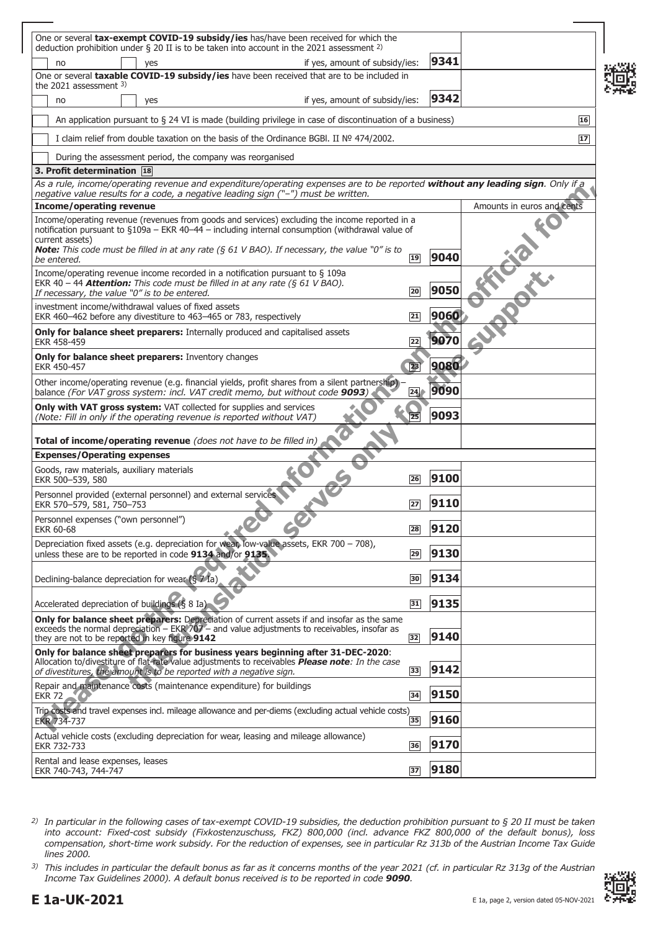| One or several tax-exempt COVID-19 subsidy/ies has/have been received for which the<br>deduction prohibition under $\S$ 20 II is to be taken into account in the 2021 assessment <sup>2)</sup>                                                                                                                                    |                 |      |                            |
|-----------------------------------------------------------------------------------------------------------------------------------------------------------------------------------------------------------------------------------------------------------------------------------------------------------------------------------|-----------------|------|----------------------------|
| if yes, amount of subsidy/ies:<br>no<br>yes                                                                                                                                                                                                                                                                                       |                 | 9341 |                            |
| One or several taxable COVID-19 subsidy/ies have been received that are to be included in<br>the 2021 assessment $3$ )                                                                                                                                                                                                            |                 |      |                            |
| if yes, amount of subsidy/ies:<br>no<br>yes                                                                                                                                                                                                                                                                                       |                 | 9342 |                            |
| An application pursuant to $\S 24$ VI is made (building privilege in case of discontinuation of a business)                                                                                                                                                                                                                       |                 |      | 16                         |
| I claim relief from double taxation on the basis of the Ordinance BGBI. II $N^{\circ}$ 474/2002.                                                                                                                                                                                                                                  |                 |      | 17                         |
| During the assessment period, the company was reorganised                                                                                                                                                                                                                                                                         |                 |      |                            |
| 3. Profit determination 18                                                                                                                                                                                                                                                                                                        |                 |      |                            |
| As a rule, income/operating revenue and expenditure/operating expenses are to be reported without any leading sign. Only if a<br>negative value results for a code, a negative leading sign ("-") must be written.                                                                                                                |                 |      |                            |
| <b>Income/operating revenue</b>                                                                                                                                                                                                                                                                                                   |                 |      | Amounts in euros and cents |
| Income/operating revenue (revenues from goods and services) excluding the income reported in a<br>notification pursuant to §109a - EKR 40-44 - including internal consumption (withdrawal value of<br>current assets)<br><b>Note:</b> This code must be filled in at any rate ( $\S$ 61 V BAO). If necessary, the value "0" is to |                 |      |                            |
| be entered.                                                                                                                                                                                                                                                                                                                       | $\sqrt{19}$     | 9040 |                            |
| Income/operating revenue income recorded in a notification pursuant to § 109a<br>EKR 40 - 44 <b>Attention:</b> This code must be filled in at any rate $(661 \text{ V BAO})$ .<br>If necessary, the value "0" is to be entered.                                                                                                   | 20              | 9050 | <b>Marki</b>               |
| investment income/withdrawal values of fixed assets<br>EKR 460-462 before any divestiture to 463-465 or 783, respectively                                                                                                                                                                                                         | 21              | 9060 |                            |
| <b>Only for balance sheet preparers:</b> Internally produced and capitalised assets<br>FKR 458-459                                                                                                                                                                                                                                | 22              | 9070 |                            |
| <b>Only for balance sheet preparers:</b> Inventory changes<br>EKR 450-457                                                                                                                                                                                                                                                         | $\overline{23}$ | 9080 |                            |
| Other income/operating revenue (e.g. financial yields, profit shares from a silent partnership)<br>balance (For VAT gross system: incl. VAT credit memo, but without code 9093)                                                                                                                                                   | 24              | 9090 |                            |
| Only with VAT gross system: VAT collected for supplies and services<br>(Note: Fill in only if the operating revenue is reported without VAT)                                                                                                                                                                                      |                 | 9093 |                            |
| <b>Total of income/operating revenue</b> (does not have to be filled in)                                                                                                                                                                                                                                                          |                 |      |                            |
| <b>Expenses/Operating expenses</b>                                                                                                                                                                                                                                                                                                |                 |      |                            |
| $v = c$<br>Goods, raw materials, auxiliary materials<br>EKR 500-539, 580                                                                                                                                                                                                                                                          | 26              | 9100 |                            |
| Personnel provided (external personnel) and external services<br>EKR 570-579, 581, 750-753                                                                                                                                                                                                                                        | 27              | 9110 |                            |
| Personnel expenses ("own personnel")<br>EKR 60-68                                                                                                                                                                                                                                                                                 | 28              | 9120 |                            |
| Depreciation fixed assets (e.g. depreciation for wear, low-value assets, EKR 700 - 708),<br>unless these are to be reported in code 9134 and/or 9135.                                                                                                                                                                             | 29              | 9130 |                            |
| Declining-balance depreciation for wear (§ 71a)                                                                                                                                                                                                                                                                                   | 30              | 9134 |                            |
| Accelerated depreciation of buildings (§ 8 Ia)                                                                                                                                                                                                                                                                                    | 31              | 9135 |                            |
| Only for balance sheet preparers: Depreciation of current assets if and insofar as the same<br>exceeds the normal depreciation $-$ EKR $707 -$ and value adjustments to receivables, insofar as<br>they are not to be reported in key figure 9142                                                                                 | 32              | 9140 |                            |
| Only for balance sheet preparers for business years beginning after 31-DEC-2020:<br>Allocation to/divestiture of flat-rate value adjustments to receivables <b>Please note</b> : In the case<br>of divestitures, the amount is to be reported with a negative sign.                                                               | 33              | 9142 |                            |
| Repair and maintenance costs (maintenance expenditure) for buildings<br>EKR 72<br>CO.                                                                                                                                                                                                                                             | 34              | 9150 |                            |
| Trip costs and travel expenses incl. mileage allowance and per-diems (excluding actual vehicle costs)<br>EKR 734-737                                                                                                                                                                                                              | 35              | 9160 |                            |
| Actual vehicle costs (excluding depreciation for wear, leasing and mileage allowance)<br>EKR 732-733                                                                                                                                                                                                                              | 36              | 9170 |                            |
| Rental and lease expenses, leases                                                                                                                                                                                                                                                                                                 |                 |      |                            |

*2) In particular in the following cases of tax-exempt COVID-19 subsidies, the deduction prohibition pursuant to § 20 II must be taken into account: Fixed-cost subsidy (Fixkostenzuschuss, FKZ) 800,000 (incl. advance FKZ 800,000 of the default bonus), loss compensation, short-time work subsidy. For the reduction of expenses, see in particular Rz 313b of the Austrian Income Tax Guide lines 2000.*

*3) This includes in particular the default bonus as far as it concerns months of the year 2021 (cf. in particular Rz 313g of the Austrian Income Tax Guidelines 2000). A default bonus received is to be reported in code 9090.*

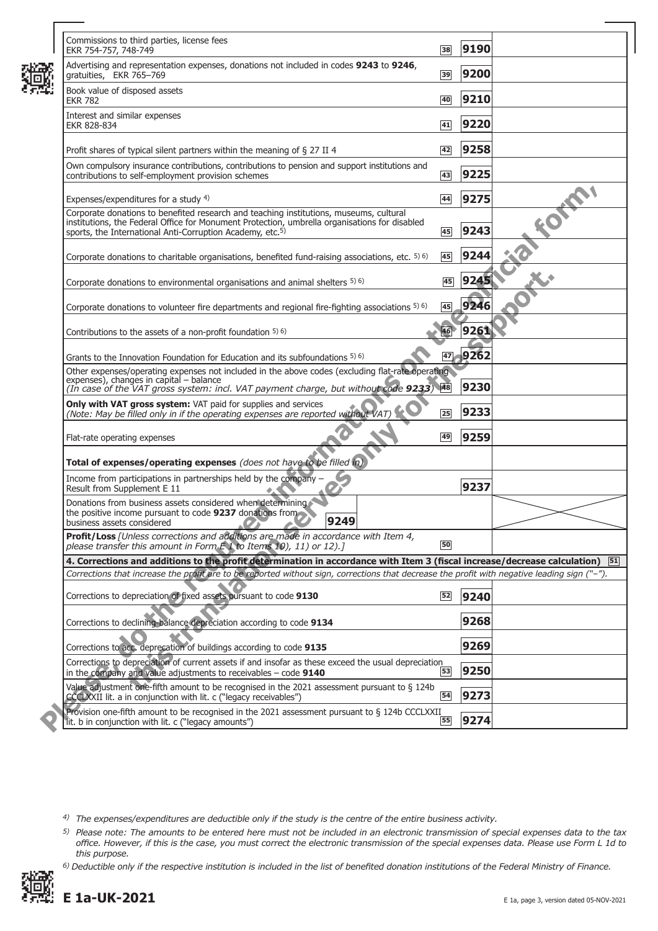| Commissions to third parties, license fees<br>EKR 754-757, 748-749                                                                                                                                                                                               | 38 | 9190    |    |
|------------------------------------------------------------------------------------------------------------------------------------------------------------------------------------------------------------------------------------------------------------------|----|---------|----|
| Advertising and representation expenses, donations not included in codes 9243 to 9246,<br>gratuities, EKR 765-769                                                                                                                                                | 39 | 9200    |    |
| Book value of disposed assets<br><b>EKR 782</b>                                                                                                                                                                                                                  | 40 | 9210    |    |
| Interest and similar expenses<br>EKR 828-834                                                                                                                                                                                                                     | 41 | 9220    |    |
| Profit shares of typical silent partners within the meaning of § 27 II 4                                                                                                                                                                                         | 42 | 9258    |    |
| Own compulsory insurance contributions, contributions to pension and support institutions and<br>contributions to self-employment provision schemes                                                                                                              | 43 | 9225    |    |
| Expenses/expenditures for a study 4)                                                                                                                                                                                                                             | 44 | 9275    |    |
| Corporate donations to benefited research and teaching institutions, museums, cultural<br>institutions, the Federal Office for Monument Protection, umbrella organisations for disabled<br>sports, the International Anti-Corruption Academy, etc. <sup>5)</sup> | 45 | 9243    |    |
| Corporate donations to charitable organisations, benefited fund-raising associations, etc. 5) 6)                                                                                                                                                                 | 45 | 9244    |    |
| Corporate donations to environmental organisations and animal shelters 5) 6)                                                                                                                                                                                     | 45 | 9245    |    |
| Corporate donations to volunteer fire departments and regional fire-fighting associations $5\,$ 6)                                                                                                                                                               | 45 | 9246    |    |
| Contributions to the assets of a non-profit foundation 5) 6)                                                                                                                                                                                                     |    | 9261    |    |
| Grants to the Innovation Foundation for Education and its subfoundations 5) 6)                                                                                                                                                                                   |    | 47 9262 |    |
| Other expenses/operating expenses not included in the above codes (excluding flat-rate operating<br>expenses), changes in capital - balance<br>(In case of the VAT gross system: incl. VAT payment charge, but without code 9233)                                |    | 9230    |    |
| Only with VAT gross system: VAT paid for supplies and services<br>(Note: May be filled only in if the operating expenses are reported without VAT)                                                                                                               | 25 | 9233    |    |
| Flat-rate operating expenses                                                                                                                                                                                                                                     | 49 | 9259    |    |
| Total of expenses/operating expenses (does not have to be filled in)                                                                                                                                                                                             |    |         |    |
| Income from participations in partnerships held by the company -<br>Result from Supplement E 11                                                                                                                                                                  |    | 9237    |    |
| Donations from business assets considered when determining<br>the positive income pursuant to code 9237 donations from<br>9249<br>business assets considered                                                                                                     |    |         |    |
| Profit/Loss [Unless corrections and additions are made in accordance with Item 4,<br>please transfer this amount in Form E 1 to Items 10), 11) or 12).]                                                                                                          | 50 |         |    |
| 4. Corrections and additions to the profit determination in accordance with Item 3 (fiscal increase/decrease calculation)                                                                                                                                        |    |         | 51 |
| Corrections that increase the profit are to be reported without sign, corrections that decrease the profit with negative leading sign ("-").                                                                                                                     |    |         |    |
| Corrections to depreciation of fixed assets pursuant to code 9130                                                                                                                                                                                                | 52 | 9240    |    |
| Corrections to declining-balance depreciation according to code 9134                                                                                                                                                                                             |    | 9268    |    |
| Corrections to acc. deprecation of buildings according to code 9135                                                                                                                                                                                              |    | 9269    |    |
| Corrections to depreciation of current assets if and insofar as these exceed the usual depreciation<br>in the company and value adjustments to receivables $-$ code 9140                                                                                         | 53 | 9250    |    |
| Value adjustment one-fifth amount to be recognised in the 2021 assessment pursuant to § 124b<br>CCCLXXII lit. a in conjunction with lit. c ("legacy receivables")                                                                                                | 54 | 9273    |    |
| Provision one-fifth amount to be recognised in the 2021 assessment pursuant to § 124b CCCLXXII<br>lit. b in conjunction with lit. c ("legacy amounts")                                                                                                           | 55 | 9274    |    |
|                                                                                                                                                                                                                                                                  |    |         |    |

*6) Deductible only if the respective institution is included in the list of benefited donation institutions of the Federal Ministry of Finance.*



龞

*<sup>4)</sup> The expenses/expenditures are deductible only if the study is the centre of the entire business activity.*

*<sup>5)</sup> Please note: The amounts to be entered here must not be included in an electronic transmission of special expenses data to the tax office. However, if this is the case, you must correct the electronic transmission of the special expenses data. Please use Form L 1d to this purpose.*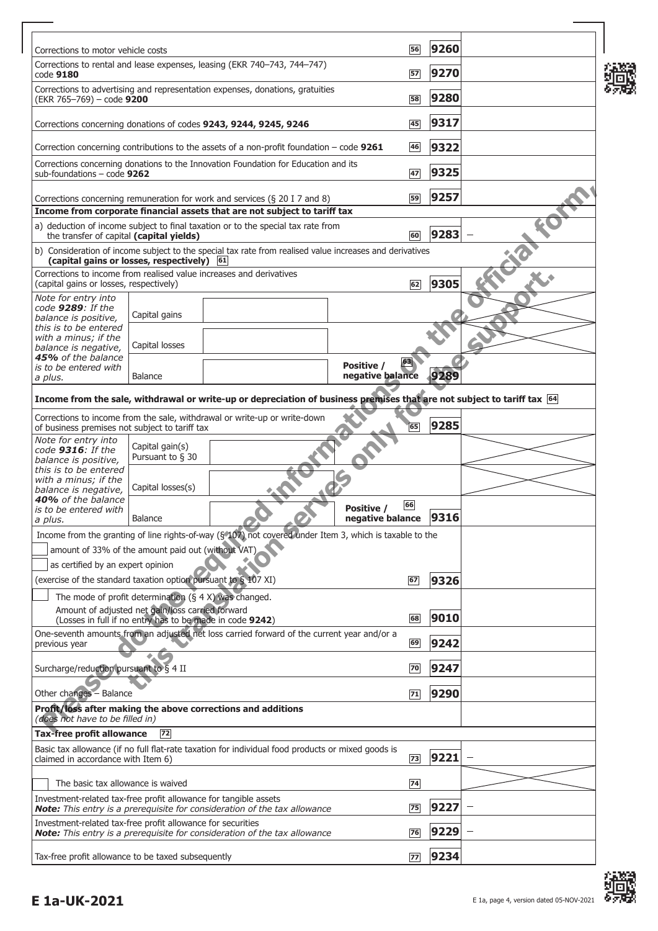| Corrections to motor vehicle costs                                                                          |                                     |                                                                                                                                                        |                                | 56 | 9260 |  |
|-------------------------------------------------------------------------------------------------------------|-------------------------------------|--------------------------------------------------------------------------------------------------------------------------------------------------------|--------------------------------|----|------|--|
| code 9180                                                                                                   |                                     | Corrections to rental and lease expenses, leasing (EKR 740-743, 744-747)                                                                               |                                | 57 | 9270 |  |
| (EKR 765-769) - code 9200                                                                                   |                                     | Corrections to advertising and representation expenses, donations, gratuities                                                                          |                                | 58 | 9280 |  |
|                                                                                                             |                                     | Corrections concerning donations of codes 9243, 9244, 9245, 9246                                                                                       |                                | 45 | 9317 |  |
|                                                                                                             |                                     | Correction concerning contributions to the assets of a non-profit foundation $-$ code 9261                                                             |                                | 46 | 9322 |  |
| sub-foundations $-$ code 9262                                                                               |                                     | Corrections concerning donations to the Innovation Foundation for Education and its                                                                    |                                | 47 | 9325 |  |
|                                                                                                             |                                     | Corrections concerning remuneration for work and services (§ 20 I 7 and 8)                                                                             |                                | 59 | 9257 |  |
|                                                                                                             |                                     | Income from corporate financial assets that are not subject to tariff tax                                                                              |                                |    |      |  |
| the transfer of capital (capital yields)                                                                    |                                     | a) deduction of income subject to final taxation or to the special tax rate from                                                                       |                                | 60 | 9283 |  |
| (capital gains or losses, respectively) 61                                                                  |                                     | b) Consideration of income subject to the special tax rate from realised value increases and derivatives                                               |                                |    |      |  |
| (capital gains or losses, respectively)                                                                     |                                     | Corrections to income from realised value increases and derivatives                                                                                    |                                | 62 | 9305 |  |
| Note for entry into<br>code 9289: If the                                                                    |                                     |                                                                                                                                                        |                                |    |      |  |
| balance is positive,<br>this is to be entered                                                               | Capital gains                       |                                                                                                                                                        |                                |    |      |  |
| with a minus; if the<br>balance is negative,                                                                | Capital losses                      |                                                                                                                                                        |                                |    |      |  |
| <b>45%</b> of the balance<br>is to be entered with<br>a plus.                                               | Balance                             |                                                                                                                                                        | Positive /<br>negative balance | 63 | 9289 |  |
|                                                                                                             |                                     | Income from the sale, withdrawal or write-up or depreciation of business premises that are not subject to tariff tax 64                                |                                |    |      |  |
|                                                                                                             |                                     | Corrections to income from the sale, withdrawal or write-up or write-down                                                                              |                                |    |      |  |
| of business premises not subject to tariff tax<br>Note for entry into                                       |                                     |                                                                                                                                                        |                                | 65 | 9285 |  |
| code 9316: If the<br>balance is positive,                                                                   | Capital gain(s)<br>Pursuant to § 30 |                                                                                                                                                        |                                |    |      |  |
| this is to be entered<br>with a minus; if the                                                               | Capital losses(s)                   |                                                                                                                                                        |                                |    |      |  |
| balance is negative,<br>40% of the balance<br>is to be entered with                                         |                                     |                                                                                                                                                        | Positive /                     | 66 |      |  |
| a plus.                                                                                                     | <b>Balance</b>                      |                                                                                                                                                        | negative balance               |    | 9316 |  |
|                                                                                                             |                                     | Income from the granting of line rights-of-way (§ 107) not covered under Item 3, which is taxable to the                                               |                                |    |      |  |
| amount of 33% of the amount paid out (without VAT)<br>as certified by an expert opinion                     |                                     |                                                                                                                                                        |                                |    |      |  |
| (exercise of the standard taxation option pursuant to § 107 XI)                                             |                                     |                                                                                                                                                        |                                | 67 | 9326 |  |
| The mode of profit determination $(§ 4 X)$ was changed.<br>Amount of adjusted net gain/loss carried forward |                                     |                                                                                                                                                        |                                |    |      |  |
|                                                                                                             |                                     | (Losses in full if no entry has to be made in code 9242)<br>One-seventh amounts from an adjusted net loss carried forward of the current year and/or a |                                | 68 | 9010 |  |
| previous year                                                                                               |                                     |                                                                                                                                                        |                                | 69 | 9242 |  |
| Surcharge/reduction pursuant to $\overline{S}$ 4 II                                                         |                                     |                                                                                                                                                        |                                | 70 | 9247 |  |
| Other changes - Balance                                                                                     |                                     |                                                                                                                                                        |                                | 71 | 9290 |  |
| (does not have to be filled in)                                                                             |                                     | Profit/loss after making the above corrections and additions                                                                                           |                                |    |      |  |
| <b>Tax-free profit allowance</b>                                                                            | 72                                  |                                                                                                                                                        |                                |    |      |  |
| claimed in accordance with Item 6)                                                                          |                                     | Basic tax allowance (if no full flat-rate taxation for individual food products or mixed goods is                                                      |                                | 73 | 9221 |  |
| The basic tax allowance is waived                                                                           |                                     |                                                                                                                                                        |                                | 74 |      |  |
| Investment-related tax-free profit allowance for tangible assets                                            |                                     | Note: This entry is a prerequisite for consideration of the tax allowance                                                                              |                                | 75 | 9227 |  |
| Investment-related tax-free profit allowance for securities                                                 |                                     | <b>Note:</b> This entry is a prerequisite for consideration of the tax allowance                                                                       |                                | 76 | 9229 |  |
| Tax-free profit allowance to be taxed subsequently                                                          |                                     |                                                                                                                                                        |                                | 77 | 9234 |  |



┑